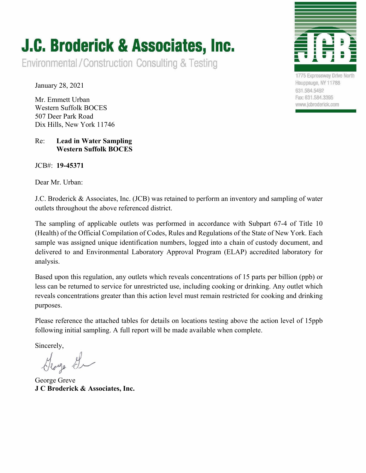## **J.C. Broderick & Associates, Inc.**

Environmental/Construction Consulting & Testing

January 28, 2021

Mr. Emmett Urban Western Suffolk BOCES 507 Deer Park Road Dix Hills, New York 11746

## Re: **Lead in Water Sampling Western Suffolk BOCES**

JCB#: **19-45371**

Dear Mr. Urban:



1775 Expressway Drive North Hauppauge, NY 11788 631.584.5492 Fax: 631.584.3395 www.jcbroderick.com

J.C. Broderick & Associates, Inc. (JCB) was retained to perform an inventory and sampling of water outlets throughout the above referenced district.

The sampling of applicable outlets was performed in accordance with Subpart 67-4 of Title 10 (Health) of the Official Compilation of Codes, Rules and Regulations of the State of New York. Each sample was assigned unique identification numbers, logged into a chain of custody document, and delivered to and Environmental Laboratory Approval Program (ELAP) accredited laboratory for analysis.

Based upon this regulation, any outlets which reveals concentrations of 15 parts per billion (ppb) or less can be returned to service for unrestricted use, including cooking or drinking. Any outlet which reveals concentrations greater than this action level must remain restricted for cooking and drinking purposes.

Please reference the attached tables for details on locations testing above the action level of 15ppb following initial sampling. A full report will be made available when complete.

Sincerely,

George G

George Greve **J C Broderick & Associates, Inc.**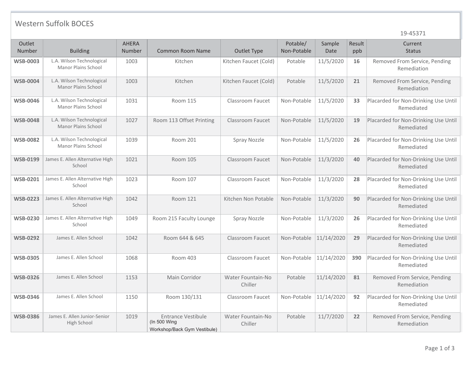## Western Suffolk BOCES

19-45371

| Outlet<br>Number | <b>Building</b>                                         | <b>AHERA</b><br>Number | Common Room Name                                                             | Outlet Type                  | Potable/<br>Non-Potable | Sample<br>Date | Result<br>ppb | Current<br><b>Status</b>                           |
|------------------|---------------------------------------------------------|------------------------|------------------------------------------------------------------------------|------------------------------|-------------------------|----------------|---------------|----------------------------------------------------|
| <b>WSB-0003</b>  | L.A. Wilson Technological<br>Manor Plains School        | 1003                   | Kitchen                                                                      | Kitchen Faucet (Cold)        | Potable                 | 11/5/2020      | 16            | Removed From Service, Pending<br>Remediation       |
| <b>WSB-0004</b>  | L.A. Wilson Technological<br><b>Manor Plains School</b> | 1003                   | Kitchen                                                                      | Kitchen Faucet (Cold)        | Potable                 | 11/5/2020      | 21            | Removed From Service, Pending<br>Remediation       |
| <b>WSB-0046</b>  | L.A. Wilson Technological<br><b>Manor Plains School</b> | 1031                   | Room 115                                                                     | Classroom Faucet             | Non-Potable             | 11/5/2020      | 33            | Placarded for Non-Drinking Use Until<br>Remediated |
| <b>WSB-0048</b>  | L.A. Wilson Technological<br>Manor Plains School        | 1027                   | Room 113 Offset Printing                                                     | Classroom Faucet             | Non-Potable             | 11/5/2020      | 19            | Placarded for Non-Drinking Use Until<br>Remediated |
| <b>WSB-0082</b>  | L.A. Wilson Technological<br>Manor Plains School        | 1039                   | Room 201                                                                     | Spray Nozzle                 | Non-Potable             | 11/5/2020      | 26            | Placarded for Non-Drinking Use Until<br>Remediated |
| <b>WSB-0199</b>  | James E. Allen Alternative High<br>School               | 1021                   | <b>Room 105</b>                                                              | <b>Classroom Faucet</b>      | Non-Potable             | 11/3/2020      | 40            | Placarded for Non-Drinking Use Until<br>Remediated |
| <b>WSB-0201</b>  | James E. Allen Alternative High<br>School               | 1023                   | Room 107                                                                     | Classroom Faucet             | Non-Potable             | 11/3/2020      | 28            | Placarded for Non-Drinking Use Until<br>Remediated |
| <b>WSB-0223</b>  | James E. Allen Alternative High<br>School               | 1042                   | Room 121                                                                     | Kitchen Non Potable          | Non-Potable             | 11/3/2020      | 90            | Placarded for Non-Drinking Use Until<br>Remediated |
| <b>WSB-0230</b>  | James E. Allen Alternative High<br>School               | 1049                   | Room 215 Faculty Lounge                                                      | Spray Nozzle                 | Non-Potable             | 11/3/2020      | 26            | Placarded for Non-Drinking Use Until<br>Remediated |
| <b>WSB-0292</b>  | James E. Allen School                                   | 1042                   | Room 644 & 645                                                               | Classroom Faucet             | Non-Potable 11/14/2020  |                | 29            | Placarded for Non-Drinking Use Until<br>Remediated |
| <b>WSB-0305</b>  | James E. Allen School                                   | 1068                   | Room 403                                                                     | <b>Classroom Faucet</b>      | Non-Potable             | 11/14/2020     | 390           | Placarded for Non-Drinking Use Until<br>Remediated |
| <b>WSB-0326</b>  | James E. Allen School                                   | 1153                   | Main Corridor                                                                | Water Fountain-No<br>Chiller | Potable                 | 11/14/2020     | 81            | Removed From Service, Pending<br>Remediation       |
| <b>WSB-0346</b>  | James E. Allen School                                   | 1150                   | Room 130/131                                                                 | Classroom Faucet             | Non-Potable             | 11/14/2020     | 92            | Placarded for Non-Drinking Use Until<br>Remediated |
| <b>WSB-0386</b>  | James E. Allen Junior-Senior<br>High School             | 1019                   | <b>Entrance Vestibule</b><br>$($ ln 500 Wing<br>Workshop/Back Gym Vestibule) | Water Fountain-No<br>Chiller | Potable                 | 11/7/2020      | 22            | Removed From Service, Pending<br>Remediation       |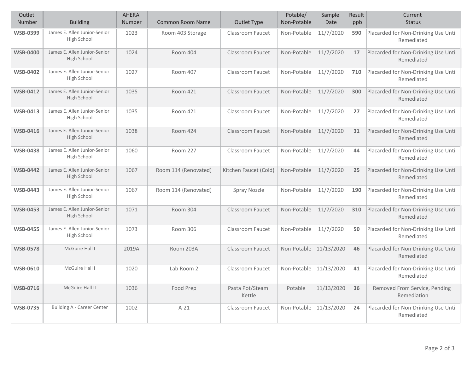| Outlet<br>Number | <b>Building</b>                             | <b>AHERA</b><br>Number | <b>Common Room Name</b> | Outlet Type               | Potable/<br>Non-Potable | Sample<br>Date | Result<br>ppb | Current<br><b>Status</b>                           |
|------------------|---------------------------------------------|------------------------|-------------------------|---------------------------|-------------------------|----------------|---------------|----------------------------------------------------|
| <b>WSB-0399</b>  | James E. Allen Junior-Senior<br>High School | 1023                   | Room 403 Storage        | Classroom Faucet          | Non-Potable             | 11/7/2020      | 590           | Placarded for Non-Drinking Use Until<br>Remediated |
| <b>WSB-0400</b>  | James E. Allen Junior-Senior<br>High School | 1024                   | Room 404                | <b>Classroom Faucet</b>   | Non-Potable             | 11/7/2020      | 17            | Placarded for Non-Drinking Use Until<br>Remediated |
| <b>WSB-0402</b>  | James E. Allen Junior-Senior<br>High School | 1027                   | Room 407                | Classroom Faucet          | Non-Potable             | 11/7/2020      | 710           | Placarded for Non-Drinking Use Until<br>Remediated |
| <b>WSB-0412</b>  | James E. Allen Junior-Senior<br>High School | 1035                   | <b>Room 421</b>         | <b>Classroom Faucet</b>   | Non-Potable             | 11/7/2020      | 300           | Placarded for Non-Drinking Use Until<br>Remediated |
| <b>WSB-0413</b>  | James E. Allen Junior-Senior<br>High School | 1035                   | Room 421                | Classroom Faucet          | Non-Potable             | 11/7/2020      | 27            | Placarded for Non-Drinking Use Until<br>Remediated |
| <b>WSB-0416</b>  | James E. Allen Junior-Senior<br>High School | 1038                   | Room 424                | <b>Classroom Faucet</b>   | Non-Potable             | 11/7/2020      | 31            | Placarded for Non-Drinking Use Until<br>Remediated |
| <b>WSB-0438</b>  | James E. Allen Junior-Senior<br>High School | 1060                   | Room 227                | Classroom Faucet          | Non-Potable             | 11/7/2020      | 44            | Placarded for Non-Drinking Use Until<br>Remediated |
| <b>WSB-0442</b>  | James E. Allen Junior-Senior<br>High School | 1067                   | Room 114 (Renovated)    | Kitchen Faucet (Cold)     | Non-Potable             | 11/7/2020      | 25            | Placarded for Non-Drinking Use Until<br>Remediated |
| <b>WSB-0443</b>  | James E. Allen Junior-Senior<br>High School | 1067                   | Room 114 (Renovated)    | Spray Nozzle              | Non-Potable             | 11/7/2020      | 190           | Placarded for Non-Drinking Use Until<br>Remediated |
| <b>WSB-0453</b>  | James E. Allen Junior-Senior<br>High School | 1071                   | Room 304                | Classroom Faucet          | Non-Potable             | 11/7/2020      | 310           | Placarded for Non-Drinking Use Until<br>Remediated |
| <b>WSB-0455</b>  | James E. Allen Junior-Senior<br>High School | 1073                   | Room 306                | <b>Classroom Faucet</b>   | Non-Potable             | 11/7/2020      | 50            | Placarded for Non-Drinking Use Until<br>Remediated |
| <b>WSB-0578</b>  | McGuire Hall I                              | 2019A                  | Room 203A               | <b>Classroom Faucet</b>   | Non-Potable             | 11/13/2020     | 46            | Placarded for Non-Drinking Use Until<br>Remediated |
| <b>WSB-0610</b>  | McGuire Hall I                              | 1020                   | Lab Room 2              | Classroom Faucet          | Non-Potable             | 11/13/2020     | 41            | Placarded for Non-Drinking Use Until<br>Remediated |
| <b>WSB-0716</b>  | McGuire Hall II                             | 1036                   | Food Prep               | Pasta Pot/Steam<br>Kettle | Potable                 | 11/13/2020     | 36            | Removed From Service, Pending<br>Remediation       |
| <b>WSB-0735</b>  | <b>Building A - Career Center</b>           | 1002                   | $A-21$                  | Classroom Faucet          | Non-Potable 11/13/2020  |                | 24            | Placarded for Non-Drinking Use Until<br>Remediated |